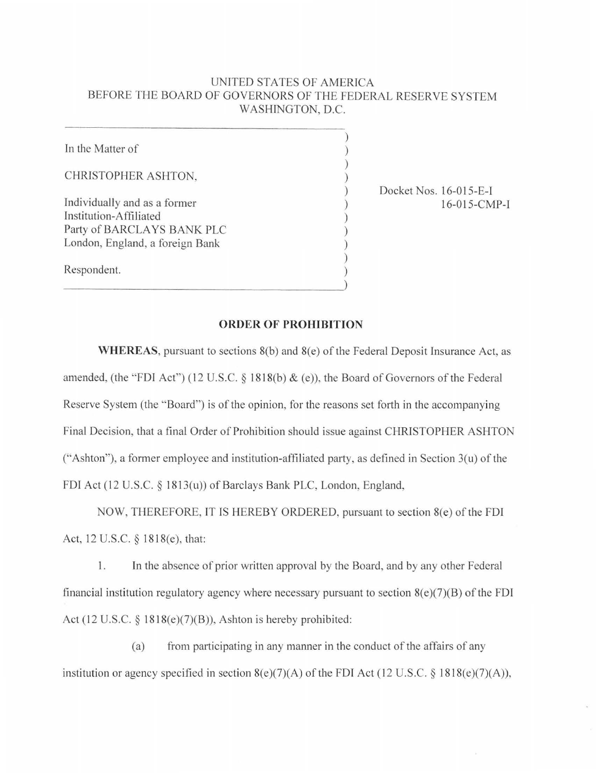## UNITED STATES OF AMERICA BEFORE THE BOARD OF GOVERNORS OF THE FEDERAL RESERVE SYSTEM WASHINGTON, D.C.

)

In the Matter of ) CHRISTOPHER ASHTON, ) Individually and as a former  $16-015-CMP-I$ Institution-Affiliated Party of BARCLAYS BANK PLC ) London, England, a foreign Bank ) ) Respondent. )

) Docket Nos. 16-015-E-l

## **ORDER OF PROHIBITION**

**WHEREAS**, pursuant to sections 8(b) and 8(e) of the Federal Deposit Insurance Act, as amended, (the "FDI Act") (12 U.S.C.  $\S$  1818(b)  $\&$  (e)), the Board of Governors of the Federal Reserve System (the "Board") is of the opinion, for the reasons set forth in the accompanying Final Decision, that a final Order of Prohibition should issue against CHRISTOPHER ASHTON ("Ashton"), a former employee and institution-affiliated party, as defined in Section  $3(u)$  of the FDI Act (12 U.S.C. *§* 1813(u)) of Barclays Bank PLC, London, England,

NOW, THEREFORE, IT IS HEREBY ORDERED, pursuant to section 8(e) of the FDI Act, 12 U.S.C. § 1818(e), that:

I. In the absence of prior written approval by the Board, and by any other Federal financial institution regulatory agency where necessary pursuant to section  $8(e)(7)(B)$  of the FDI Act (12 U.S.C. *§* l 818(e)(7)(B)), Ashton is hereby prohibited:

(a) from participating in any manner in the conduct of the affairs of any institution or agency specified in section  $8(e)(7)(A)$  of the FDI Act (12 U.S.C. § 1818( $e$ )(7)(A)),